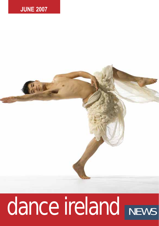

# dance ireland NEWS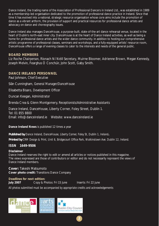Dance Ireland, the trading name of the Association of Professional Dancers in Ireland Ltd., was established in 1989 as a membership-led organisation dedicated to the promotion of professional dance practice in Ireland. Since that time it has evolved into a national, strategic resource organisation whose core aims include the promotion of dance as a vibrant artform, the provision of support and practical resources for professional dance artists and advocacy on dance and choreography issues.

Dance Ireland also manages DanceHouse, a purpose-built, state-of-the-art dance rehearsal venue, located in the heart of Dublin's north-east inner city. DanceHouse is at the heart of Dance Ireland activities, as well as being a home for professional dance artists and the wider dance community. In addition to hosting our comprehensive artistic programme of professional classes, seminars and workshops, and a fully-equipped artists' resource room, DanceHouse offers a range of evening classes to cater to the interests and needs of the general public.

## **BOARD MEMBERS**

Liz Roche *Chairperson*, Ríonach Ní Néill *Secretary*, Muirne Bloomer, Adrienne Brown, Megan Kennedy, Joseph Melvin, Fearghus Ó Conchúir, John Scott, Gaby Smith.

## **DANCE IRELAND PERSONNEL**

Paul Johnson, *Chief Executive*

Siân Cunningham, *General Manager/DanceHouse* 

Elisabetta Bisaro, *Development Officer*

Duncan Keegan, *Administrator* 

Brenda Crea & Glenn Montgomery, *Receptionists/Administrative Assistants* 

Dance Ireland, DanceHouse, Liberty Corner, Foley Street, Dublin 1. Tel: 01 855 8800 Email: info@danceireland.ie Website: www.danceireland.ie

**Dance Ireland News** is published 12 times a year

*Published by Dance Ireland, DanceHouse, Liberty Corner, Foley St, Dublin 1, Ireland.*

*Printed by CRM Design & Print, Unit 6, Bridgecourt Office Park, Walkinstown Ave. Dublin 12, Ireland.*

## **ISSN 1649-9506**

#### **Disclaimer**

Dance Ireland reserves the right to edit or amend all articles or notices published in this magazine. The views expressed are those of contributors or editor and do not necessarily represent the views of Dance Ireland members.

**2**

**Cover:** Takeshi Matsumoto **Cover photo credit:** Transitions Dance Company

## **Deadlines for next edition:**

**July 2007** Copy & Photos: Fri 15 June Inserts: Fri 22 June

*All photos submitted must be accompanied by appropriate credits and acknowledgements*

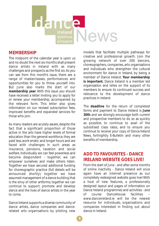

## **MEMBERSHIP**

The midpoint of the calendar year is upon us and no doubt the next six months shall present dance artists in Ireland with as many challenges and prospects as the first six. As you can see from this month's issue, there are a range of masterclasses, performances and opportunities for you to throw yourself into. But June also marks the start of our **membership year**. With this issue you should have received a letter inviting you to apply for or renew your membership, accompanied by the relevant form. This letter also gives information on our revised subscription fees, improved benefits and expanded services for those who join.

As many readers are acutely aware, despite the fact that a significant proportion of those active in the arts have higher levels of formal education than the general workforce, they are paid less, work erratic and longer hours and are faced with challenges in such areas as insurance, pensions, taxation and social welfare. Individually we can feel powerless and become despondent - together, we can empower ourselves and make others listen. Together we have secured additional funding for choreographic practice (full details will be announced shortly); together we have assumed management of a dance building that is the envy of other artforms; together we can continue to support, promote and develop dance and the lives of dance artists in the year to come.

Dance Ireland supports a diverse community of dance artists, dance companies and dancerelated arts organisations by piloting new models that facilitate multiple pathways for creative and professional growth. Join the growing network of over 200 dancers, choreographers, companies, arts organisations and individuals who strengthen the cultural environment for dance in Ireland, by being a member of Dance Ireland. **Your membership is important.** Dance Ireland is a member led organisation and relies on the support of its members to ensure its continued success and relevance to the development of dance practices in Ireland.

The **deadline** for the return of completed forms and payment to Dance Ireland is **June 30th** and we strongly encourage both current and prospective members to do so as quickly as possible, to continue to avail of the subsidised class rates, and to ensure you continue to receive your copy of *Dance Ireland News*, fortnightly E-Bulletin and many other benefits of membership.

# **ADD TO FAVOURITES - DANCE IRELAND WEBSITE GOES LIVE!**

From the start of June - and after some months of online inactivity - Dance Ireland will once again have an internet presence as our completely redesigned website goes live! With a host of new features, a professionally designed layout and pages of information on Dance Ireland programmes and activities - and of course DanceHouse facilities – www.danceireland.je will be the newest resource for individuals, organisations and companies interested in finding out about dance in Ireland.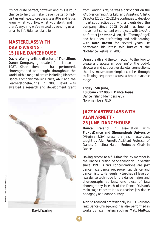It's not quite perfect, however, and this is your chance to help us make it even better. Simply visit us online, explore the site a little and let us know what you like, what you don't, and if there's anything we've missed by sending us an email to info@danceireland.ie

## **MASTERCLASS WITH DAVID WARING – 15 JUNE, DANCEHOUSE**

**David Waring**, artistic director of **Transitions Dance Company**, graduated from Laban in 1987. Since then he has performed, choreographed and taught throughout the world with a range of artists including Ricochet Dance Company, Walker Dance, AMP and the Featherstonehaughs. In 2000 David was awarded a research and development grant



from London Arts, he was a participant on the PAL (Performing Arts Lab) and Assistant Artistic Director (2001 – 2002). He continues to develop his artistic practice both with and outside of the company. Since 2005 David has been a movement consultant on projects with Live Art performer **Jonathan Allen**, aka 'Tommy Angel', and has been performing and collaborating with **Kate Brown** for several years. He performed his latest solo *hustler* at the Nottdance Festival in 2006.

Using breath and the connection to the floor to create and access an 'opening' of the body's structure and supportive skeletal connections, the class moves from simple exercises through to flowing sequences across a broad dynamic range.

## **Friday 15th June,**

**10.00am – 12.00pm, DanceHouse** Dance Ireland Members: €8 / Non-members: €10

## **JAZZ MASTERCLASS WITH ALAN ARNETT – 25 JUNE, DANCEHOUSE**

**Dance Ireland** in association with **FluxusDance** and **Shenandoah University** (Virginia, USA) present a Jazz masterclass taught by **Alan Arnett**, Assistant Professor of Dance, Christina Halpin Endowed Chair in Dance.

Having served as a full-time faculty member in the Dance Division of Shenandoah University since 1997, Alan's concentrations are jazz dance, jazz dance pedagogy, tap dance and dance history. He regularly teaches all levels of jazz dance technique for the dance majors and choreographs at least one piece of jazz choreography in each of the Dance Division's main stage concerts. He also teaches jazz dance pedagogy and dance history.

Alan has danced professionally in Gus Giordano Jazz Dance Chicago, and has also performed in works by jazz masters such as **Matt Mattox**,

**David Waring**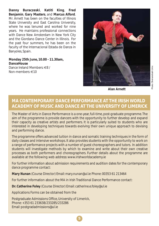**Danny Buraczeski**, **Katiti King**, **Fred Benjamin**, **Gary Masters**, and **Marcus Alford**. Mr. Arnett has been on the faculties of Illinois State University and East Carolina University, where he was tenured and worked for nine years. He maintains professional connections with Dance New Amsterdam in New York City and the Giordano Dance Center in Illinois. For the past four summers, he has been on the faculty of the Internacional Estada de Danza in Banyoles, Spain.

**Monday 25th June, 10.00 - 11.30am, DanceHouse**

Dance Ireland Members: €8 / Non-members: €10



**Alan Arnett**

# **MA CONTEMPORARY DANCE PERFORMANCE AT THE IRISH WORLD ACADEMY OF MUSIC AND DANCE AT THE UNIVERSITY OF LIMERICK**

The Master of Arts in Dance Performance is a one-year, full-time, post-graduate programme. The aim of the programme is provide dancers with the opportunity to further develop and expand their capacity as creative artists and performers. It is particularly suited to students who are interested in developing techniques towards evolving their own unique approach to devising and performing dance.

The programme offers advanced tuition in dance and somatic training techniques in the form of daily classes and intensive workshops. It also provides students with the opportunity to work on a range of performance projects with a number of guest choreographers and tutors. In addition students will investigate methods by which to examine and write about their own creative processes as both performers and choreographers. Further details about the programme are available at the following web address: www.irishworldacademy.ie

For further information about admission requirements and audition dates for the contemporary dance programme contact:

**Mary Nunan** (Course Director) Email: mary.nunan@ul.ie Phone: 00353 61 213464

For further information about the MA in Irish Traditional Dance Performance contact:

**Dr. Catherine Foley** (Course Director) Email: catherine.e.foley@ul.ie

Applications Forms can be obtained from the

Postgraduate Admissions Office, University of Limerick, Phone: +353 61 233638/233285/233286 Email: postgradadmissions@ul.ie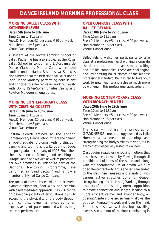# **DANCE IRELAND MORNING PROFESSIONAL CLASS**

## **MORNING BALLET CLASS WITH KATHERINE LEWIS**

Dates: **5th June to 8th June** Time: 10am to 11.30am Fees: DI Members €5 per class, €20 per week. Non Members: €8 per class Venue: DanceHouse

A student of the Myrtle Lambkin School of Ballet, Katherine has also studied at the Royal Ballet School in London and L' Acadamie de Danse Classique, Monte Carlo where she studied under Marika Besobrasova. She was also a member of the Irish National Ballet under Joan Denise Moriarty, performing both soloist and principal roles for ten years, working closely with Domy Reiter-Soffer, Charles Czarny and Royston Muldoon among others.

## **MORNING CONTEMPORARY CLASS WITH CRISTINA GOLETTI**

Dates: **11th June to 15th June**

Time: 10am to 11.30am Fees: DI Members €5 per class, €20 per week. Non Members: €8 per class Venue: DanceHouse

Cristina Goletti trained at the London Contemporary Dance School where she gained a postgraduate diploma with distinction dancing and touring across Europe with Edge, the postgraduate company of LCDS. Since then she has been performing and teaching in Europe, Japan and Mexico as well as presenting her own creations. In Ireland as part of the Daghdha Mentoring Programme, she performed in "Sand Section" and is now a member of Myriad Dance Company.

The focus of these classes will be placement, dynamic alignment, floor work and stamina with a release-based approach. They will centre on developing clarity of articulations by fully accessing the physicality of the body through their complex dynamics, encouraging an expansive use of space combined with a strong sense of performance.

## **OPEN COMPANY CLASS WITH BALLET IRELAND**

Dates: **18th June to 22nd June** Time: 10am to 11.30am Fees: DI Members €5 per class, €20 per week. Non Members: €8 per class Venue: DanceHouse

Ballet Ireland welcomes participants to take class at a professional level working alongside the dancers of one of Ireland's most exciting and prolific companies. These are challenging and invigorating ballet classes of the highest professional standard. Be inspired to take your work to new heights and achieve much more by working in this professional atmosphere.

## **MORNING CONTEMPORARY CLASS WITH RÍONACH NÍ NÉILL**

## Dates: **26th June to 29th June**

Time: 10am to 11.30am Fees: DI Members €5 per class, €20 per week. Non Members: €8 per class Venue: DanceHouse

The class will utilise the principles of GYROKINESIS®, a methodology created by Juliu Horvath as a means of opening and strengthening the body similarly to yoga, but in a way that is especially suited to dancers.

Class begins seated using rocking motions that ease the spine into mobility. Moving through all possible articulations of the spine and, along with the coordinated use of breath, we fully open the center body. Arms and legs are added to the mix, then kneeling and standing, with various active stretches done for deeper strengthening and stretching.Working through a variety of positions using internal opposition to create connection and length, leading to a more efficient, calmer and stronger body, an opening/centering exercise finally allows the body to integrate the work and focus the mind. From this basis we will develop travelling exercises in and out of the floor, culminating in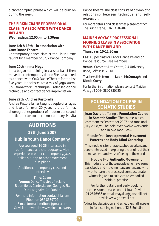a choreographic phrase which will be built on during the week.

## **THE FIRKIN CRANE PROFESSIONAL CLASS IN ASSOCIATION WITH DANCE IRELAND**

**Wednesdays, 12.00pm to 1.30pm** 

## **June 6th & 13th – in association with Crux Dance Theatre**

Contemporary dance class at the Firkin Crane taught by a member of Crux Dance Company

## **June 20th - Inma Moya**

Inma began her training in classical ballet then moved to contemporary dance. She has worked as a dancer with CruX Dance Theatre for the last five years. Her classes are a mix of yoga warmup, floor-work technique, released-dance technique and contact dance improvisation.

## **June 27th - Andrea Pastorella**

Andrea Pastorella has taught people of all ages and levels for over 20 years, is a performer, choreographer, producer of modern dance and artistic director for her own company Movita

# **AUDITIONS**

**17th June 2007**

## **Dublin Youth Dance Company**

Are you aged 16-26, interested in performance and choreography, with experience in either contemporary, jazz, ballet, hip-hop or other movement discipline?

Audition: contemporary class and interview

**Time:** 10am **Venue:** Dance Theatre of Ireland Bloomfields Centre, Lower Georges St., Dun Laoghaire, Co. Dublin.

For more information contact Mariam Ribon on 086 8639702 E-mail to: mariamribon@gmail.com Or visit our website www.dlrcoco.ie/arts

Dance Theatre. The class consists of a symbiotic relationship between technique and selfexpression.

*For more details and class times please contact The Firkin Crane; T: 021 4507487*

## **MAIDEN VOYAGE PROFESSIONAL MORNING CLASS IN ASSOCIATION WITH DANCE IRELAND**

#### **Thursdays, 10-11.30am**

**Fee:** £5 per class or £4 for Dance Ireland or Dance Resource Base members

**Venue:** Crescent Arts Centre, 2-4 University Road, Belfast, BT7 1NH

## Teachers this term are **Leoni McDonagh** and **Nicola Curry**

*For further information please contact Maiden Voyage T 0044 2890 330925*

## **FOUNDATION COURSE IN SOMATIC STUDIES**

**Joan Davis** is offering a **Foundation Course in Somatic Studies**. The course, which commences September 2007 and runs until July 2008, will be held over twelve weekends and in two modules –

## Module One:**Developmental Movement Patterns and Body-Mind Centering**

*This module is for therapists, bodyworkers and people interested in exploring the origins of their movement and ways of being in the world*

Module Two: **Authentic Movement** *This module is for those people who have some basic body and movement awareness and who wish to learn the process of compassionate witnessing and to cultivate an embodied spiritual practice* 

For further details and early booking concessions, please contact Joan Davis at 01 2876986 or email mayalila@gorsehill.net or visit www.gorsehill.net

*A detailed description and schedule shall appear in forthcoming editions of DI E-Bulletin*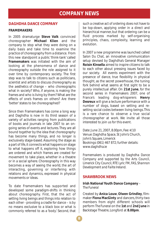# **COMPANY NEWS**

## **DAGHDHA DANCE COMPANY**

## **FRAMEMAKERS**

In 2005 dramaturge **Steve Valk** convinced choreographer **Michael Klien** and the company to stop what they were doing on a daily basis and take time to examine the practice of choreography from a distance. From this new standpoint a public 'think-tank' called **Framemakers** was initiated with the aim of looking at the phenomena of dance and choreography outside the role assigned to it over time by contemporary society. The first step was to talk to citizens such as politicians, scientist and artists to discuss choreography as the *aesthetics of change* – who choreographs what in society? Who, if anyone, is making the frames and who is living by them? What are the effects of one's frames on others? Are there 'better' states to be choreographed?

Since then Framemakers has come a long way and Daghdha is now in its third season of a variety of activities ranging from publications of books and journals in late 2007 to an ongoing series of events and lectures. They are all bound together by the idea that choreography has become many things, and no longer is exclusively stage-based. Assuming the stage as a part of life, it connects what happens on stage to what happens off it, exploring how things are ordered and which frames are created for movement to take place, whether in a theatre or in a social sphere. Choreography in this way becomes a way of seeing the world, the art of interacting, governing or interfering with relations and dynamics, expressed in physical movements or ideas.

To date Framemakers has supported and developed some paradigm-shifts in thinking about choreography. First, that the act of setting living beings and things into relation to each other - providing a cradle for dance – is by no means exclusive to a black box or what is commonly referred to as a 'body'. Second, that

such a creative act of ordering does not have to be top-down, applying order in a direct and hierarchical manner, but that ordering can be a fluid process marked by self-organising principles, chaos, complexity, learning and evolution.

In 2007 a new programme was launched called *Salon Du Chat,* an innovative communication setup devised by Daghdha's General Manager **Roisín Kinsella** aimed to inspire citizens to talk to each other about pressing issues faced by our society. All events experiment with the presence of dance, true flexibility in physical thought, as the secret powerhouse, the tuning fork behind what seems at first sight to be a purely intellectual affair. On **21st June**, for the second series in Framemakers 2007, one of France's leading dog-whisperers **Henry Desreux** will give a lecture performance with a number of dogs, based on setting and resetting social codes between living beings. This is a rare chance to observe a true social choreographer at work. We invite all those interested to join us for this event.

Date: June 21, 2007, 8.00pm, Fee: €10 Venue: Daghdha Space, St John's Church, John's Square, Limerick Bookings (061) 467 872; further details: www.daghdha.ie

*Framemakers is produced by Daghdha Dance Company and supported by the Arts Council, Limerick City Council, RTE Lyric FM, FAS, Shannon Development and Failte Ireland.*

## **SHAWBROOK NEWS**

#### **Irish National Youth Dance Company** – *The Funeral*

Created by **Anica Louw**, **Olwen Grindley**, filmmaker **Fiona MacGinty** and dancers, thirty-two members from eight different schools will perform *The Funeral* on the **1st** and **2nd June** in Backstage Theatre, Longford at **8.00pm**.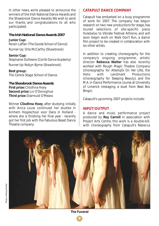In other news, we're pleased to announce the winners of the Irish National Dance Awards and the Shawbrook Dance Awards. We wish to send our thanks and congratulations to all who participated.

# *The Irish National Dance Awards 2007*

**Junior Cup:** Roisin Laffan *(The Goode School of Dance) Runner Up:* Orla McCarthy (*Shawbrook*)

**Senior Cup:** Stephanie Dufresne (*Corrib Dance Academy) Runner Up:* Robyn Byrne (*Shawbrook)*

**Best group:** The Centre Stage School of Dance.

*The Shawbrook Dance Awards* **First prize:** Cliodhna Hoey **Second prize:** Liv O'Donoghue **Third prize:** Diarmuid O'Meara

Winner **Cliodhna Hoey**, after studying initially with Anica Louw continued her studies in Arnhem Hogeschool voor Dans in Holland where she is finishing her final year - recently got her first job with the Fabulous Beast Dance Theatre company.

## **CATAPULT DANCE COMPANY**

Catapult has embarked on a busy programme of work for 2007. The company has begun research on two new productions for stage, has toured selections of site-specific piece *Hulabaloo* to Vibrate Festival Athlone, and will soon begin work on *Walk Don't Run*, a dance film project to be created in collaboration with six other artists.

In addition to creating choreography for the company's ongoing programme, artistic director **Rebecca Walter** has also recently worked with Rough Magic Theatre Company (choreography for *Attempts On Her Life*), the Helix with Landmark Productions (choreography for *Sleeping Beauty*), and the M.A. in Dance Performance course at University of Limerick (restaging a duet from *Beat Box Bingo*).

Catapult's upcoming 2007 projects include:

## **INPUT/OUTPUT**

A dance and music performance project produced by **Roy Carroll** in association with Project Arts Centre, this work is a double-bill, with choreography from Catapult's Rebecca

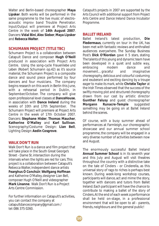Walter and Berlin-based choreographer **Maya Lipsker**. Both works will be performed in the same programme to the live music of electroacoustic improv band Trouble Penetrator. *Input/Output* will premiere at Project Arts Centre in the week of **14th August 2007**. Dancers:**Vidal Bini**,**Alex Sieber**, **Maya Lipsker** and **Rebecca Walter**.

## **SCHUMANN PROJECT (TITLE TBC)**

Schumann Project is a collaboration between Catapult Dance and composer **Hugh O'Neill** produced in association with Project Arts Centre. Using the song-cycle *Frauenliebe und Leben* (Robert Schumann op.42) as it's source material, the Schumann Project is a composite dance and sound piece performed by four dancers and four musicians. The company begins research on this work in Berlin this June, with a rehearsal period in Dublin, in September/October. The company will give open professional level classes at **DanceHouse**, in association with **Dance Ireland** during the weeks of 10th and 17th September. The Schumann Project will premiere at Project Arts Centre in the week of 17th October 2007. Dancers: **Stephane Hisler**, **Thomas Maucher**, **Katherine O'Malley** and **Karl Sullivan**. Scenography/Costume Design: **Lian Bell**, Lighting Design: **Aedin Cosgrove**.

## **WALK DON'T RUN**

Walk Don't Run is a dance and film project that will take place in the South Great George's Street - Dame St. intersection during the intervals when the lights are red for cars. This project is a collaboration between Catapult's Rebecca Walter, independent dance artists **Fearghus Ó Conchúir**, **Wolfgang Hoffman** and Katherine O'Malley, designer Lian Bell, composer Hugh O'Neill and videographer **Mark Linanne**. Walk Don't Run is a Project Arts Centre Commission.

For further information on Catapult's activities, you can contact the company at catapultdancecompany@gmail.com / tel: 086 375 0260.

*Catapult's projects in 2007 are supported by the Arts Council with additional support from Project Arts Centre and Dance Ireland Dance Incubator Programme.*

## **BALLET IRELAND**

Ballet Ireland's latest production, **Die Fledermaus**, currently on tour in the UK, has been met with fantastic reviews and enthralled audiences everywhere. The Sunday Business Post's **Dick O'Riordan** gave it 5 stars, stating *The talents of this young and dynamic team have been developed in a quiet and subtle way, embracing modern dance and movement…graceful and imaginative choreography, delicious and colourful costuming and exuberant and exciting dancing by a troupe eager to make its mark,* while **Christie Taylor** at the Irish Times observed that the success of the *swiftly moving plot and structured choreography* drawn from our cast by artistic director **Gunther Falusy** and guest choreographer **Morgann Runacre-Temple** suggested *something may be going on at Ballet Ireland behind the scenes.*

Of course, with a busy summer ahead of performances at Farmleigh, our choreographic showcase and our annual summer school programme, the company will be engaged in a very diverse number of activities between now and August.

The enormously successful Ballet Ireland **Annual Summer School** is in its seventh year and this July and August will visit theatres throughout the country with a distinctive take on the tale of Cinders - or Cinderella, as this universal story of rags to riches is perhaps best known. During week-long workshop courses, participants will dance, act and mime the story, together with dancers and tutors from Ballet Ireland. Each participant will have the chance to contribute to making a ballet of the story of Cinders. At the end of each week a performance shall be held on-stage, in a professional environment that will be open to all - parents, friends, neighbours and the general public!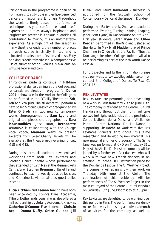Participation in the programme is open to all from age six to sixty, boys and girls, experienced dancers or first-timers. Emphasis throughout the week is firmly based in performance techniques, style, confidence and selfexpression – but as always, inspiration and laughter are present in copious quantities, all contributing to making this an unforgettable experience. As a highlight of the season in many theatre calendars, the number of places on each course is strictly limited and is allocated on a first come, first served basis. Early booking is definitely advised! A comprehensive list of summer school venues is available on www.ballet-ireland.com

## **COLLEGE OF DANCE**

Thirty-three students continue in full-time professional dance training at the College, and rehearsals are already in progress for **Dance 2007**, a showcase for the work of the College to be performed in the O'Reilly Theatre on **5th**, **6th** and **7th July**. The students will perform a new ballet, *Sinfonia Classica* choreographed by **Ester O Brolchain**, two new contemporary works choreographed by **Sam Lyons** and original tap pieces choreographed by **Sara Moussoulides**. Jazz tutor, **Bernadette O'Rourke** is collaborating with the College vocal coach, **Maureen Ward**, to present excerpts from *Sweet Charity*. Tickets will be available at the theatre each evening, prices:  $\in$ 18 and  $\in$ 15.

During this term, all students have enjoyed workshops from both Rex Levitates and Scottish Dance Theatre whose performance they attended on 12th May at the Mermaid Arts Centre, Bray. **Stephen Brennan** of Ballet Ireland continues to teach a weekly boys ballet class and Katherine Lewis remains as guest ballet teacher.

**Lucia Kickham** and **Leeann Teeling** have both been accepted by Fontys Dans Academie, Tilberg, Netherlands. Leeann was also offered a half scholarship by Urdang Academy, UK, as was **Catherine O'Connor**. Five students - **Chrissie Ardill**, **Donna Duffy**, **Grace Guildea**, **Jill**

**O'Neill** and **Laura Raymond** - successfully auditioned for the Scottish School of Contemporary Dance at the Space in Dundee.

During the Easter break, 2nd year students performed *Twisting, Turning, Leaning, Leaping,* (chor: Sam Lyons) in DanceHouse on 5th April. First year students, **Sarah Ryan** and **Chloe Keegan**, performed in *The King and I*, staged at the Helix. In May, **Niall Madden** played Prince Charming in *Cinderella* at the Pavilion Theatre, Dun Laoghaire where College students will also be performing as part of the Irish Youth Dance Festival.

For prospectus and further information please visit our website www.collegeofdance.com or contact the College of Dance, Tel/Fax: 01 2304115.

## **REX LEVITATES**

Rex Levitates are performing and developing new work in Paris from May 20th to June 16th. The company is resident at the Centre Culturel Irlandais and throughout the month will take up two fortnight residencies at the prestigious Centre National de la Danse and Atelier de Paris. Centre National De La Danse is supporting **Liz Roche** to work with five Rex Levitates dancers throughout this time researching and developing new material. This new material and her choreography *The Same Jane* was performed at CND on Thursday 31st May. At the Atelier De Paris the company will be joined by a further two Rex dancers who will work with two new French dancers in recreating Liz Roche's 2006 installation piece for the Docklands Festival *The All Weather Project*. The company will again show their work on Thursday 14th June at the Atelier. The culmination of this residency will be performances of *The All Weather Project* in the main courtyard of the Centre Culturel Irlandais on Saturday 16th June, Bloomsday at 7.30pm.

Rex Levitates are delighted to be working over this period in Paris. The performance residency makes for a very interesting and diverse month of activities for the company as well as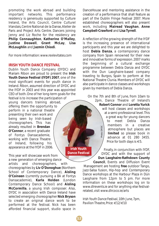promoting the work abroad and building important networks. This performance residency is generously supported by Culture Ireland, the Arts Council, Centre Culturel Irlandais, Centre National de la Danse, Atelier de Paris and Project Arts Centre. Dancers joining Jenny and Liz Roche for the residency are **Philip Connaughton**, **Katherine O'Malley**, **Justine Doswell**, **Grant McLay**, **Lisa McLoughlin** and **Jazmin Chiodi**.

For more information: www.rexlevitates.com

## **IRISH YOUTH DANCE FESTIVAL**

Dublin Youth Dance Company (DYDC) and Mariam Ribon are proud to present the **Irish Youth Dance Festival (IYDF) 2007**, one of the most significant events for youth dance in Ireland. Ribon, assumed direction of DYDC and the IYDF in 2003 and this year was appointed CEO of both. One of her long-term goals for the festival is to increase the participation of young dancers training abroad, offering them the opportunity to perform in a national theatre presenting their own work and being seen by Irish-based choreographers. This has already resulted in **Brendan O'Connor**, a recent graduate of Fontys Dansacademie, working with Dance Theatre of Ireland, following his

This year will showcase work from a new generation of emerging dance

appearance at the IYDF in 2006.

artists and choreographers, with choreographies by **Liv O'Donoghue** (Northern School of Contemporary Dance), **Aisling O'Coineen** (currently pursuing a BA at Fontys Dansacademie), **Karla Holden** (London Contemporary Dance School) and **Aisling McCormilla**, a young Irish composer. Also, DYDC in association with Dance Ireland have selected emerging choreographer **Nick Bryson** to create an original dance work to be performed at the festival. Nick has been afforded financial support, studio space in

DanceHouse and mentoring assistance in the creation of a performance that shall feature as part of the Dublin Fringe Festival 2007. More established choreographers will also present work, including **Mairead Vaughan**, **Anne Campbell-Crawford** and **Lisa Tyrrell**.

A reflection of the growing strength of the IYDF is the increasing presence of international participants and this year we are delighted to host **Debla Danza**, a contemporary dance company from Spain renowned for their new and innovative forms of expression. 2007 marks the beginning of a cultural exchange programme between Debla Danza and DYDC with the Dun Laoghaire-based company traveling to Burgos, Spain to perform at the National Theatre Clunia. Members of DYDC will also participate in dance classes and workshops given by members of Debla Danza.

On the 7th and 8th of June, from 10am to 2pm, Dance Theatre of Ireland's **Robert Connor** and **Loretta Yurick** will host classes and workshops at a semi-professional level. This a great way for young dancers to meet Debla Danza members in a creative *Photo:* DYDCPhoto: DYDC atmosphere but places are **limited** so please book in advance at 01 280 3455. Price for both days is €5.

Finally, in conjunction with IYDF, DYDC and with the support of **Dun Laoghaire-Rathdown County Council**, Events and Diffusion Event

Management are hosting **free** outdoor Tango, Jazz-Salsa fusion, Hip-hop and Contemporary Dance workshops at the Harbour Plaza in Dún Laoghaire from 12pm to 5 pm. For more information on these workshops log on to www.dlrevents.ie and for anything else festivalrelated, visit www.dlrcoco.ie/arts

*Irish Youth Dance Festival, 10th June, 7pm, Pavilion Theatre, Price: €12/€10* 

**Irish Youth Dance Festival**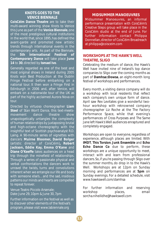## **KNOTS GOES TO THE VENICE BIENNALE**

**CoisCéim Dance Theatre** are to take their multi-award winning show *Knots* to Venice this June as part of the **Venice Biennale**, one of the most prestigious cultural institutions in the world that, since 1895, has defined the avant-garde and promoted new artistic trends through international events in the contemporary arts. As part of the Biennale,<br>the 5th International Festival of the **5th International Festival of Contemporary Dance** will take place **June 14** to **30**, directed by **Ismael Ivo**.

Generally regarded as one of the best and most original shows in Ireland during 2005 *Knots* won Best Production at the Dublin Fringe Festival before embarking on a national tour. It then won a Fringe First in Edinburgh in 2006 and, after Venice, will embark on a nationwide tour of the UK as part of the highly acclaimed Aurora Nova on tour.

Directed by virtuoso choreographer **Liam Steel** of *Stan Won't Dance,* this text-meetsmovement dance theatre show unapologetically untangles the complexity of human relationships by juxtaposing brutal and high-octane choreography with the insightful text of Scottish psychoanalyst R.D. Laing. A 90-minute series of vignettes with dancers **Muirne Bloomer, David Bolger** (artistic director of CoisCéim)**, Robert Jackson, Eddie Kay, Emma O'Kane** and **Diane O'Keeffe** takes audiences on a head trip through the minefield of relationships. Through a series of passionate physical and verbal confrontations the dancers work to unravel the twists, turns and convolutions inherent when we entangle our life and body with someone else's…and the sad, insidious patterns our minds and hearts are compelled to repeat forever.

Venue: Teatro Piccolo Arsenale; Date: June 29, 10pm & June 30, 7pm

Further information on the festival as well as to discover other elements of the festival's program, please visit www.labiennale.org

## **MIDSUMMER MANOEUVRES**

Midsummer Manoeuvres, an informal performance presentation with CoisCéim's .<br>Creative Steps group will take place in the CoisCéim studio at the end of June. For further information contact Philippa Donnellan, director of CoisCéim Broadreach at philippa@coisceim.com

## **WORKSHOPS AT THE HAWK'S WELL THEATRE, SLIGO**

Celebrating the medium of dance, the Hawk's Well have invited nine of Ireland's top dance companies to Sligo over the coming months as part of **Damhsa::Dowsa**, an eight-month long festival of workshops and performances.

Every month, a visiting dance company will do a workshop with local residents that reflect each company's own unique form of dance. April saw Rex Levitates give a wonderful twohour workshop with reknowned company choreographer Liz Roche at the The Factory Performance Space, while that evening's performances of *Cross Purposes* and *The Same Jane* left Hawk's Well audiences enraptured and completely engaged.

Workshops are open to everyone, regardless of experience, although places are limited. With **IMDT**, **This Torsion**, **Junk Ensemble** and **Echo Echo Dance Co** due to perform, these workshops are a unique opportunity to meet, interact with and learn from professional dancers. So, if you're passing through Sligo over the summer months, do drop in to the Hawk's Well. Workshops are at 12pm on Sunday morning and performances are at **5pm** on Sunday evenings. For a detailed schedule, visit www.hawkswell.com/damhsa

For further information and reserving workshop **places**, **email** sorcha.niheilidhe@hawkswell.com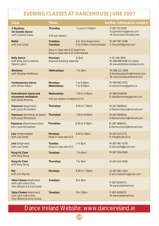# **EVENING CLASSES AT DANCEHOUSE JUNE 2007**

| Class                                                                                      | Times                                                      |                                                    | <b>Further information contact:</b>                                            |
|--------------------------------------------------------------------------------------------|------------------------------------------------------------|----------------------------------------------------|--------------------------------------------------------------------------------|
| 5 Rhythms<br>tm Ecstatic Dance<br>with Caroline Carey                                      | Thursday<br>€25 per session                                | 7 June, to 9.30pm                                  | P: 087 2572098<br>E:cg5rhythms@gmail.com<br>W: www.carolinecarey.com           |
| <b>Ballet</b><br>with Lisa Tyrrell                                                         | Tuesdays,<br>Tuesdays,<br>Drop-in class rate €12 beginners | 6 to 7pm (beginners)<br>8 to 9.30pm (intermediate) | M: 087 967 4248<br>E: lisa.tyrell@gmail.com                                    |
|                                                                                            | Drop-in class rate €15 Intermediate                        |                                                    |                                                                                |
| <b>Belly Dance</b><br>with Belly Dance Ireland,<br>Valerie Larkin                          | <b>Mondays</b><br>Advance booking essential                | 8-9pm                                              | P: 01 296 3856<br>M: 086 888 6036 (no texts)<br>W: www.bellydanceireland.com   |
| <b>Biodanza</b><br>with Brendan McManus                                                    | Wednesdays                                                 | 7 to 9pm                                           | M: 086 121 1909<br>E: biodanzadublin@hotmail.com<br>W: www.biodanzaireland.com |
| <b>Contemporary dance</b><br>with Miriam Ribon                                             | <b>Mondays</b><br>Wednesdays                               | 7 to 8.30pm<br>7 to 8.30pm                         | M: 086 863 9702<br>E: mariammola@yahoo.ie                                      |
| Embodiment: dance and<br>movement meditation<br>with David Mooney                          | Wednesdays<br>€15 per session, 6 sessions €75              | 7.30 to 9.30pm                                     | M:086 0546556<br>E: davidbmooney@gmail.com                                     |
| <b>Flamenco</b> (beginners)<br>with Joyce Richardson                                       | <b>Thursdays</b>                                           | 6.30 to 7.30pm                                     | M:087 9696541<br>E: flamencolynn@hotmail.com                                   |
| <b>Flamenco</b> (Sevillanas all levels)<br>with Joyce Richardson                           | <b>Thursdays</b>                                           | 7.30 to 8.30pm                                     | M:087 9696541<br>E: flamencolynn@hotmail.com                                   |
| Flamenco (Elem/Interm/Adv)<br>with Joyce Richardson                                        | <b>Thursdays</b>                                           | 8.30 to 9.30pm                                     | M:087 9696541<br>E: flamencolynn@hotmail.com                                   |
| Jazz (intermediate)<br>with Lisa Tyrrell                                                   | <b>Mondays</b><br>Drop-in class rate €15                   | 8.30 to 10pm                                       | M:087 4121775<br>E: info@studio32.ie                                           |
| Jazz (beginners)<br>with Lisa Tyrrell                                                      | <b>Tuesday</b><br>Drop-in class rate $\in$ 12              | 7 to 8pm                                           | M:087 967 4278<br>E: lisa.tyrell@gmail.com                                     |
| <b>Kung-Fu Class</b><br>with Yang Dong                                                     | <b>Tuesdays</b>                                            | 7 to 8pm                                           | M: 087 934 9509                                                                |
| <b>Kung-Fu Class</b><br>with Yang Dong                                                     | <b>Thursdays</b>                                           | 7 to 9pm                                           | M: 087 934 9509                                                                |
| <b>Nia</b><br>with Ann Rigney                                                              | <b>Mondays</b>                                             | 6.30 to 7.30pm                                     | M: 087 983 2433<br>E: ann.niadublin@gmail.com                                  |
| Salsa Classes (beginners)<br>with Latin instructors<br>Vitor (Brazil) & Anna (Cuba)        | <b>Tuesdays</b>                                            | 8 to 9pm                                           | P: 087 6206372<br>W: www.salsamania.ie                                         |
| <b>Salsa Classes (improvers)</b><br>with Latin instructors<br>Vitor (Brazil) & Anna (Cuba) | <b>Tuesdays</b>                                            | 9 to 10pm                                          | P: 087 6206372<br>W: www.salsamania.ie                                         |

# Dance Ireland Website: www.danceireland.ie

**14**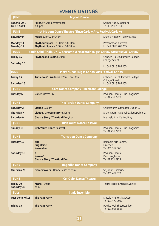# **EVENTS LISTINGS**

| <b>JUNE</b>                                                                                      | <b>Myriad Dance</b>                                                    |                                                               |  |  |
|--------------------------------------------------------------------------------------------------|------------------------------------------------------------------------|---------------------------------------------------------------|--|--|
| Sat 2 to Sat 9<br><b>Fri 8 &amp; Sat 9</b>                                                       | Ruins, 9.45pm performance<br>7.30pm                                    | Selskar Abbey, Wexford<br>Tel: 053 91 23764                   |  |  |
| <b>JUNE</b>                                                                                      | Irish Modern Dance Theatre (Éigse Carlow Arts Festival, Carlow)        |                                                               |  |  |
| Saturday 9                                                                                       | Freize, 12pm, 2pm, 4pm                                                 | Shaw's Window, Tullow Street                                  |  |  |
| Monday 11<br><b>Tuesday 12</b>                                                                   | Rhythmic Space - 6.30pm & 8.30pm<br>Rhythmic Space - 6.30pm & 8.30pm   | <b>Presentation Convent</b><br>Lo Call: 0818 205 205          |  |  |
| <b>JUNE</b><br>Sonia Sabri (India/UK) & Seosamh O Neachtain (Eigse Carlow Arts Festival, Carlow) |                                                                        |                                                               |  |  |
| Friday 15<br>Saturday 16                                                                         | <b>Rhythm and Beats, 8.00pm</b>                                        | Cobden Hall, St. Patrick's College,<br><b>College Street</b>  |  |  |
|                                                                                                  |                                                                        | Lo Call: 0818 205 205                                         |  |  |
| <b>JUNE</b>                                                                                      | Mary Nunan (Éigse Carlow Arts Festival, Carlow)                        |                                                               |  |  |
| Friday 15<br>Saturday 16                                                                         | Audience (1) Waltzers, 12pm, 1pm, 3pm                                  | Cobden Hall, St. Patrick's College,<br><b>College Street</b>  |  |  |
| <b>JUNE</b>                                                                                      | Lo Call: 0818 205 205<br><b>Core Dance Company / Inchicore College</b> |                                                               |  |  |
| Tuesday 6                                                                                        | <b>Dance Moves '07</b>                                                 | Pavillion Theatre, Dún Laoghaire.                             |  |  |
|                                                                                                  |                                                                        | Tel: 01 231 2929                                              |  |  |
| <b>JUNE</b><br><b>This Torsion Dance Company</b>                                                 |                                                                        |                                                               |  |  |
| Saturday 2                                                                                       | Claude, 2.30pm                                                         | Christchurch Cathedral, Dublin 2.                             |  |  |
| Thursday 7                                                                                       | Claude / Ghost's Story, 6.30pm                                         | Shaw Room, National Gallery, Dublin 2.                        |  |  |
| Saturday 9                                                                                       | Ghost's Story / The Gold Den, 8pm                                      | Mermaid Arts Centre, Bray.                                    |  |  |
| <b>JUNE</b>                                                                                      | <b>Irish Youth Dance Festival</b>                                      |                                                               |  |  |
| Sunday 10                                                                                        | <b>Irish Youth Dance Festival</b>                                      | Pavillion Theatre, Dún Laoghaire.<br>Tel: 01 231 2929         |  |  |
| <b>JUNE</b><br><b>Transition Dance Company</b>                                                   |                                                                        |                                                               |  |  |
| <b>Tuesday 12</b>                                                                                | Alto<br>Brightside,<br><b>November</b>                                 | Belltable Arts Centre.<br>Limerick<br>Tel: 061 319 866.       |  |  |
| Saturday 16                                                                                      | it<br>Nexus-6<br><b>Ghost's Story / The Gold Den</b>                   | <b>Pavillion Theatre</b><br>Dún Laoghaire<br>Tel: 01 231 2929 |  |  |
| <b>JUNE</b><br>Daghdha Dance Company                                                             |                                                                        |                                                               |  |  |
| <b>Thursday 21</b>                                                                               | Framemakers - Henry Desreux, 8pm                                       | St. John's, Limerick<br>Tel: 061 467 872                      |  |  |
| <b>JUNE</b><br><b>CoirCeim Dance Theatre</b>                                                     |                                                                        |                                                               |  |  |
| Friday 29<br>Saturday 30                                                                         | Knots - 10pm<br>7pm                                                    | Teatro Piccolo Arenale, Venice                                |  |  |
| <b>JULY</b><br><b>Junk Ensemble</b>                                                              |                                                                        |                                                               |  |  |
| Tues 10 to Fri 13                                                                                | <b>The Rain Party</b>                                                  | Kinsale Arts Festival, Cork<br>Tel: 021 470 0010              |  |  |
| Friday 15                                                                                        | <b>The Rain Party</b>                                                  | Hawk's Well Theatre, Sligo<br>Tel: 071 916 1518               |  |  |